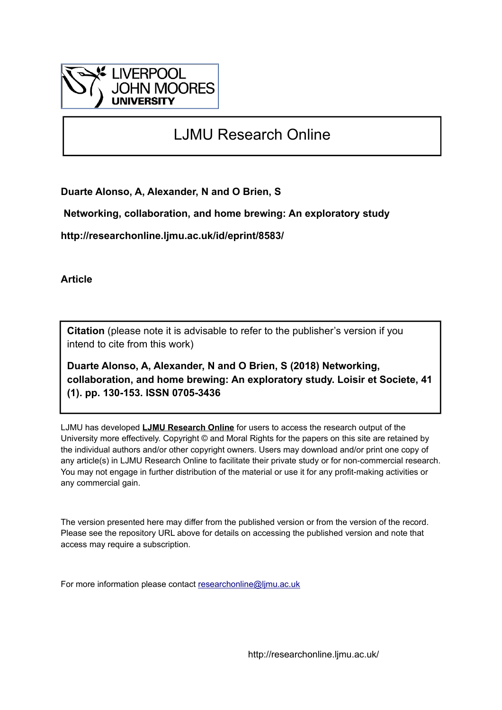

# LJMU Research Online

**Duarte Alonso, A, Alexander, N and O Brien, S**

 **Networking, collaboration, and home brewing: An exploratory study**

**http://researchonline.ljmu.ac.uk/id/eprint/8583/**

**Article**

**Citation** (please note it is advisable to refer to the publisher's version if you intend to cite from this work)

**Duarte Alonso, A, Alexander, N and O Brien, S (2018) Networking, collaboration, and home brewing: An exploratory study. Loisir et Societe, 41 (1). pp. 130-153. ISSN 0705-3436** 

LJMU has developed **[LJMU Research Online](http://researchonline.ljmu.ac.uk/)** for users to access the research output of the University more effectively. Copyright © and Moral Rights for the papers on this site are retained by the individual authors and/or other copyright owners. Users may download and/or print one copy of any article(s) in LJMU Research Online to facilitate their private study or for non-commercial research. You may not engage in further distribution of the material or use it for any profit-making activities or any commercial gain.

The version presented here may differ from the published version or from the version of the record. Please see the repository URL above for details on accessing the published version and note that access may require a subscription.

For more information please contact [researchonline@ljmu.ac.uk](mailto:researchonline@ljmu.ac.uk)

http://researchonline.ljmu.ac.uk/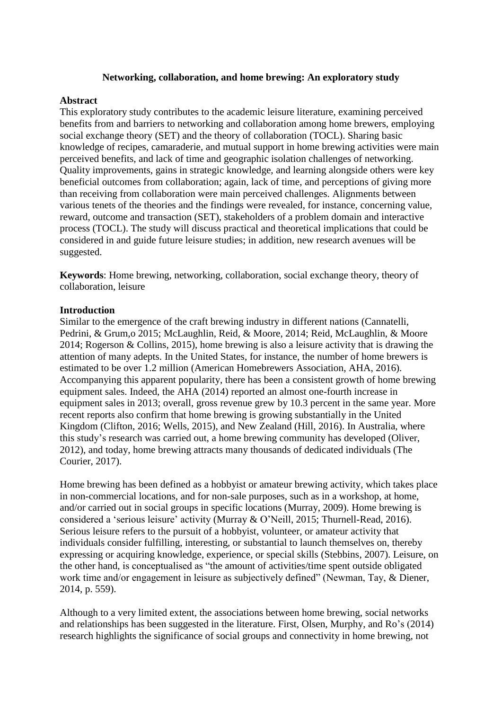# **Networking, collaboration, and home brewing: An exploratory study**

# **Abstract**

This exploratory study contributes to the academic leisure literature, examining perceived benefits from and barriers to networking and collaboration among home brewers, employing social exchange theory (SET) and the theory of collaboration (TOCL). Sharing basic knowledge of recipes, camaraderie, and mutual support in home brewing activities were main perceived benefits, and lack of time and geographic isolation challenges of networking. Quality improvements, gains in strategic knowledge, and learning alongside others were key beneficial outcomes from collaboration; again, lack of time, and perceptions of giving more than receiving from collaboration were main perceived challenges. Alignments between various tenets of the theories and the findings were revealed, for instance, concerning value, reward, outcome and transaction (SET), stakeholders of a problem domain and interactive process (TOCL). The study will discuss practical and theoretical implications that could be considered in and guide future leisure studies; in addition, new research avenues will be suggested.

**Keywords**: Home brewing, networking, collaboration, social exchange theory, theory of collaboration, leisure

# **Introduction**

Similar to the emergence of the craft brewing industry in different nations (Cannatelli, Pedrini, & Grum,o 2015; McLaughlin, Reid, & Moore, 2014; Reid, McLaughlin, & Moore 2014; Rogerson & Collins, 2015), home brewing is also a leisure activity that is drawing the attention of many adepts. In the United States, for instance, the number of home brewers is estimated to be over 1.2 million (American Homebrewers Association, AHA, 2016). Accompanying this apparent popularity, there has been a consistent growth of home brewing equipment sales. Indeed, the AHA (2014) reported an almost one-fourth increase in equipment sales in 2013; overall, gross revenue grew by 10.3 percent in the same year. More recent reports also confirm that home brewing is growing substantially in the United Kingdom (Clifton, 2016; Wells, 2015), and New Zealand (Hill, 2016). In Australia, where this study's research was carried out, a home brewing community has developed (Oliver, 2012), and today, home brewing attracts many thousands of dedicated individuals (The Courier, 2017).

Home brewing has been defined as a hobbyist or amateur brewing activity, which takes place in non-commercial locations, and for non-sale purposes, such as in a workshop, at home, and/or carried out in social groups in specific locations (Murray, 2009). Home brewing is considered a 'serious leisure' activity (Murray & O'Neill, 2015; Thurnell-Read, 2016). Serious leisure refers to the pursuit of a hobbyist, volunteer, or amateur activity that individuals consider fulfilling, interesting, or substantial to launch themselves on, thereby expressing or acquiring knowledge, experience, or special skills (Stebbins, 2007). Leisure, on the other hand, is conceptualised as "the amount of activities/time spent outside obligated work time and/or engagement in leisure as subjectively defined" (Newman, Tay, & Diener, 2014, p. 559).

Although to a very limited extent, the associations between home brewing, social networks and relationships has been suggested in the literature. First, Olsen, Murphy, and Ro's (2014) research highlights the significance of social groups and connectivity in home brewing, not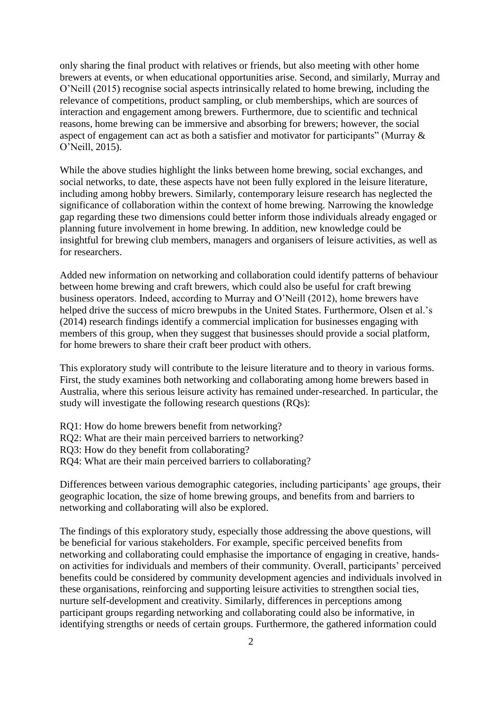only sharing the final product with relatives or friends, but also meeting with other home brewers at events, or when educational opportunities arise. Second, and similarly, Murray and O'Neill (2015) recognise social aspects intrinsically related to home brewing, including the relevance of competitions, product sampling, or club memberships, which are sources of interaction and engagement among brewers. Furthermore, due to scientific and technical reasons, home brewing can be immersive and absorbing for brewers; however, the social aspect of engagement can act as both a satisfier and motivator for participants" (Murray & O'Neill, 2015).

While the above studies highlight the links between home brewing, social exchanges, and social networks, to date, these aspects have not been fully explored in the leisure literature, including among hobby brewers. Similarly, contemporary leisure research has neglected the significance of collaboration within the context of home brewing. Narrowing the knowledge gap regarding these two dimensions could better inform those individuals already engaged or planning future involvement in home brewing. In addition, new knowledge could be insightful for brewing club members, managers and organisers of leisure activities, as well as for researchers.

Added new information on networking and collaboration could identify patterns of behaviour between home brewing and craft brewers, which could also be useful for craft brewing business operators. Indeed, according to Murray and O'Neill (2012), home brewers have helped drive the success of micro brewpubs in the United States. Furthermore, Olsen et al.'s (2014) research findings identify a commercial implication for businesses engaging with members of this group, when they suggest that businesses should provide a social platform, for home brewers to share their craft beer product with others.

This exploratory study will contribute to the leisure literature and to theory in various forms. First, the study examines both networking and collaborating among home brewers based in Australia, where this serious leisure activity has remained under-researched. In particular, the study will investigate the following research questions (RQs):

- RQ1: How do home brewers benefit from networking?
- RQ2: What are their main perceived barriers to networking?
- RQ3: How do they benefit from collaborating?
- RQ4: What are their main perceived barriers to collaborating?

Differences between various demographic categories, including participants' age groups, their geographic location, the size of home brewing groups, and benefits from and barriers to networking and collaborating will also be explored.

The findings of this exploratory study, especially those addressing the above questions, will be beneficial for various stakeholders. For example, specific perceived benefits from networking and collaborating could emphasise the importance of engaging in creative, handson activities for individuals and members of their community. Overall, participants' perceived benefits could be considered by community development agencies and individuals involved in these organisations, reinforcing and supporting leisure activities to strengthen social ties, nurture self-development and creativity. Similarly, differences in perceptions among participant groups regarding networking and collaborating could also be informative, in identifying strengths or needs of certain groups. Furthermore, the gathered information could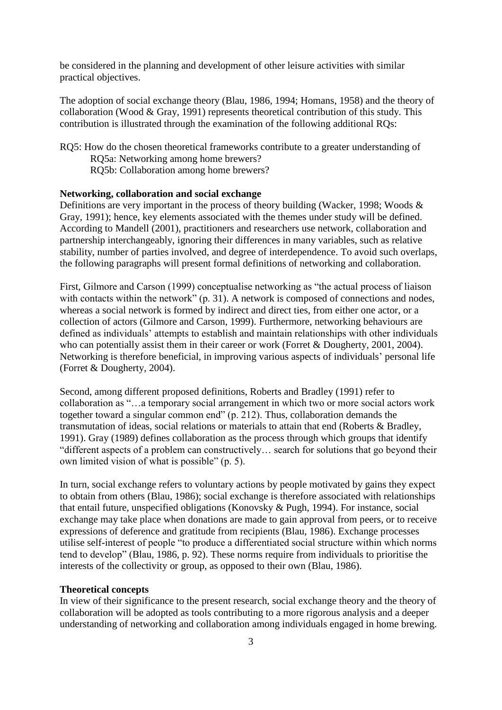be considered in the planning and development of other leisure activities with similar practical objectives.

The adoption of social exchange theory (Blau, 1986, 1994; Homans, 1958) and the theory of collaboration (Wood & Gray, 1991) represents theoretical contribution of this study. This contribution is illustrated through the examination of the following additional RQs:

RQ5: How do the chosen theoretical frameworks contribute to a greater understanding of RQ5a: Networking among home brewers? RQ5b: Collaboration among home brewers?

## **Networking, collaboration and social exchange**

Definitions are very important in the process of theory building (Wacker, 1998; Woods & Gray, 1991); hence, key elements associated with the themes under study will be defined. According to Mandell (2001), practitioners and researchers use network, collaboration and partnership interchangeably, ignoring their differences in many variables, such as relative stability, number of parties involved, and degree of interdependence. To avoid such overlaps, the following paragraphs will present formal definitions of networking and collaboration.

First, Gilmore and Carson (1999) conceptualise networking as "the actual process of liaison with contacts within the network" (p. 31). A network is composed of connections and nodes, whereas a social network is formed by indirect and direct ties, from either one actor, or a collection of actors (Gilmore and Carson, 1999). Furthermore, networking behaviours are defined as individuals' attempts to establish and maintain relationships with other individuals who can potentially assist them in their career or work (Forret & Dougherty, 2001, 2004). Networking is therefore beneficial, in improving various aspects of individuals' personal life (Forret & Dougherty, 2004).

Second, among different proposed definitions, Roberts and Bradley (1991) refer to collaboration as "…a temporary social arrangement in which two or more social actors work together toward a singular common end" (p. 212). Thus, collaboration demands the transmutation of ideas, social relations or materials to attain that end (Roberts & Bradley, 1991). Gray (1989) defines collaboration as the process through which groups that identify "different aspects of a problem can constructively… search for solutions that go beyond their own limited vision of what is possible" (p. 5).

In turn, social exchange refers to voluntary actions by people motivated by gains they expect to obtain from others (Blau, 1986); social exchange is therefore associated with relationships that entail future, unspecified obligations (Konovsky & Pugh, 1994). For instance, social exchange may take place when donations are made to gain approval from peers, or to receive expressions of deference and gratitude from recipients (Blau, 1986). Exchange processes utilise self-interest of people "to produce a differentiated social structure within which norms tend to develop" (Blau, 1986, p. 92). These norms require from individuals to prioritise the interests of the collectivity or group, as opposed to their own (Blau, 1986).

## **Theoretical concepts**

In view of their significance to the present research, social exchange theory and the theory of collaboration will be adopted as tools contributing to a more rigorous analysis and a deeper understanding of networking and collaboration among individuals engaged in home brewing.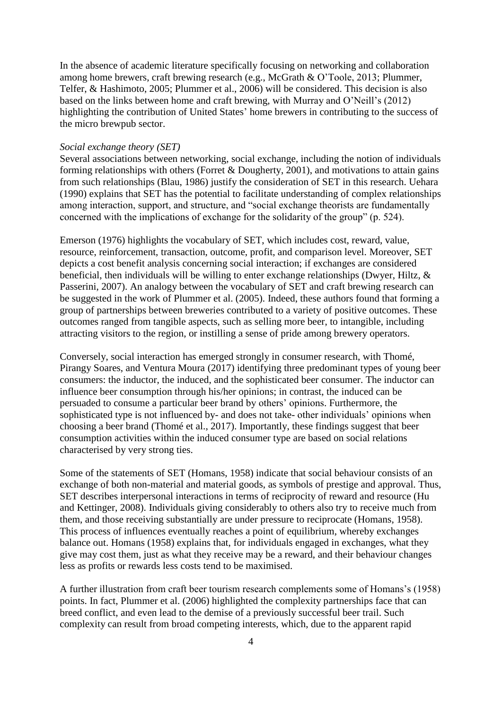In the absence of academic literature specifically focusing on networking and collaboration among home brewers, craft brewing research (e.g., McGrath & O'Toole, 2013; Plummer, Telfer, & Hashimoto, 2005; Plummer et al., 2006) will be considered. This decision is also based on the links between home and craft brewing, with Murray and O'Neill's (2012) highlighting the contribution of United States' home brewers in contributing to the success of the micro brewpub sector.

#### *Social exchange theory (SET)*

Several associations between networking, social exchange, including the notion of individuals forming relationships with others (Forret  $&$  Dougherty, 2001), and motivations to attain gains from such relationships (Blau, 1986) justify the consideration of SET in this research. Uehara (1990) explains that SET has the potential to facilitate understanding of complex relationships among interaction, support, and structure, and "social exchange theorists are fundamentally concerned with the implications of exchange for the solidarity of the group" (p. 524).

Emerson (1976) highlights the vocabulary of SET, which includes cost, reward, value, resource, reinforcement, transaction, outcome, profit, and comparison level. Moreover, SET depicts a cost benefit analysis concerning social interaction; if exchanges are considered beneficial, then individuals will be willing to enter exchange relationships (Dwyer, Hiltz, & Passerini, 2007). An analogy between the vocabulary of SET and craft brewing research can be suggested in the work of Plummer et al. (2005). Indeed, these authors found that forming a group of partnerships between breweries contributed to a variety of positive outcomes. These outcomes ranged from tangible aspects, such as selling more beer, to intangible, including attracting visitors to the region, or instilling a sense of pride among brewery operators.

Conversely, social interaction has emerged strongly in consumer research, with Thomé, Pirangy Soares, and Ventura Moura (2017) identifying three predominant types of young beer consumers: the inductor, the induced, and the sophisticated beer consumer. The inductor can influence beer consumption through his/her opinions; in contrast, the induced can be persuaded to consume a particular beer brand by others' opinions. Furthermore, the sophisticated type is not influenced by- and does not take- other individuals' opinions when choosing a beer brand (Thomé et al., 2017). Importantly, these findings suggest that beer consumption activities within the induced consumer type are based on social relations characterised by very strong ties.

Some of the statements of SET (Homans, 1958) indicate that social behaviour consists of an exchange of both non-material and material goods, as symbols of prestige and approval. Thus, SET describes interpersonal interactions in terms of reciprocity of reward and resource (Hu and Kettinger, 2008). Individuals giving considerably to others also try to receive much from them, and those receiving substantially are under pressure to reciprocate (Homans, 1958). This process of influences eventually reaches a point of equilibrium, whereby exchanges balance out. Homans (1958) explains that, for individuals engaged in exchanges, what they give may cost them, just as what they receive may be a reward, and their behaviour changes less as profits or rewards less costs tend to be maximised.

A further illustration from craft beer tourism research complements some of Homans's (1958) points. In fact, Plummer et al. (2006) highlighted the complexity partnerships face that can breed conflict, and even lead to the demise of a previously successful beer trail. Such complexity can result from broad competing interests, which, due to the apparent rapid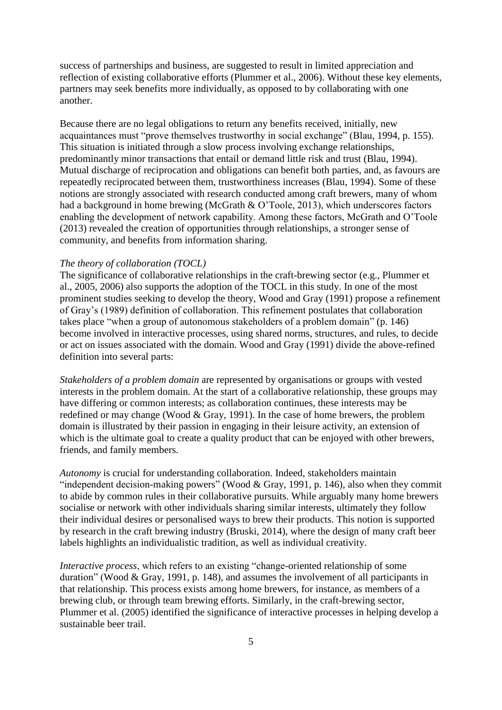success of partnerships and business, are suggested to result in limited appreciation and reflection of existing collaborative efforts (Plummer et al., 2006). Without these key elements, partners may seek benefits more individually, as opposed to by collaborating with one another.

Because there are no legal obligations to return any benefits received, initially, new acquaintances must "prove themselves trustworthy in social exchange" (Blau, 1994, p. 155). This situation is initiated through a slow process involving exchange relationships, predominantly minor transactions that entail or demand little risk and trust (Blau, 1994). Mutual discharge of reciprocation and obligations can benefit both parties, and, as favours are repeatedly reciprocated between them, trustworthiness increases (Blau, 1994). Some of these notions are strongly associated with research conducted among craft brewers, many of whom had a background in home brewing (McGrath & O'Toole, 2013), which underscores factors enabling the development of network capability. Among these factors, McGrath and O'Toole (2013) revealed the creation of opportunities through relationships, a stronger sense of community, and benefits from information sharing.

# *The theory of collaboration (TOCL)*

The significance of collaborative relationships in the craft-brewing sector (e.g., Plummer et al., 2005, 2006) also supports the adoption of the TOCL in this study. In one of the most prominent studies seeking to develop the theory, Wood and Gray (1991) propose a refinement of Gray's (1989) definition of collaboration. This refinement postulates that collaboration takes place "when a group of autonomous stakeholders of a problem domain" (p. 146) become involved in interactive processes, using shared norms, structures, and rules, to decide or act on issues associated with the domain. Wood and Gray (1991) divide the above-refined definition into several parts:

*Stakeholders of a problem domain* are represented by organisations or groups with vested interests in the problem domain. At the start of a collaborative relationship, these groups may have differing or common interests; as collaboration continues, these interests may be redefined or may change (Wood & Gray, 1991). In the case of home brewers, the problem domain is illustrated by their passion in engaging in their leisure activity, an extension of which is the ultimate goal to create a quality product that can be enjoyed with other brewers, friends, and family members.

*Autonomy* is crucial for understanding collaboration. Indeed, stakeholders maintain "independent decision-making powers" (Wood & Gray, 1991, p. 146), also when they commit to abide by common rules in their collaborative pursuits. While arguably many home brewers socialise or network with other individuals sharing similar interests, ultimately they follow their individual desires or personalised ways to brew their products. This notion is supported by research in the craft brewing industry (Bruski, 2014), where the design of many craft beer labels highlights an individualistic tradition, as well as individual creativity.

*Interactive process*, which refers to an existing "change-oriented relationship of some duration" (Wood & Gray, 1991, p. 148), and assumes the involvement of all participants in that relationship. This process exists among home brewers, for instance, as members of a brewing club, or through team brewing efforts. Similarly, in the craft-brewing sector, Plummer et al. (2005) identified the significance of interactive processes in helping develop a sustainable beer trail.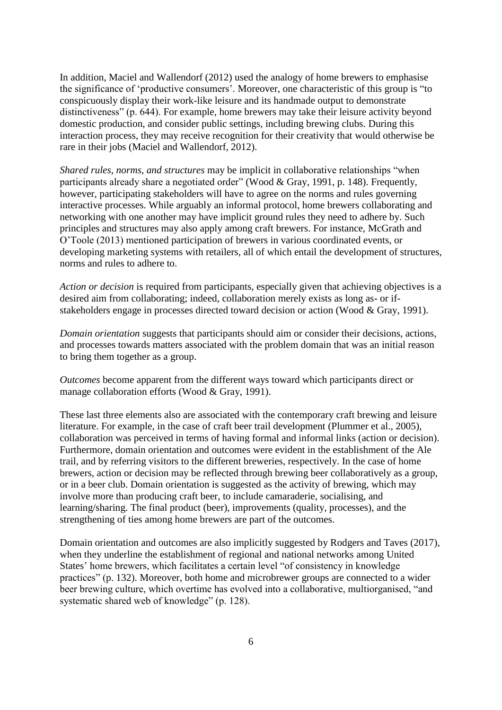In addition, Maciel and Wallendorf (2012) used the analogy of home brewers to emphasise the significance of 'productive consumers'. Moreover, one characteristic of this group is "to conspicuously display their work-like leisure and its handmade output to demonstrate distinctiveness" (p. 644). For example, home brewers may take their leisure activity beyond domestic production, and consider public settings, including brewing clubs. During this interaction process, they may receive recognition for their creativity that would otherwise be rare in their jobs (Maciel and Wallendorf, 2012).

*Shared rules, norms, and structures* may be implicit in collaborative relationships "when participants already share a negotiated order" (Wood & Gray, 1991, p. 148). Frequently, however, participating stakeholders will have to agree on the norms and rules governing interactive processes. While arguably an informal protocol, home brewers collaborating and networking with one another may have implicit ground rules they need to adhere by. Such principles and structures may also apply among craft brewers. For instance, McGrath and O'Toole (2013) mentioned participation of brewers in various coordinated events, or developing marketing systems with retailers, all of which entail the development of structures, norms and rules to adhere to.

*Action or decision* is required from participants, especially given that achieving objectives is a desired aim from collaborating; indeed, collaboration merely exists as long as- or ifstakeholders engage in processes directed toward decision or action (Wood & Gray, 1991).

*Domain orientation* suggests that participants should aim or consider their decisions, actions, and processes towards matters associated with the problem domain that was an initial reason to bring them together as a group.

*Outcomes* become apparent from the different ways toward which participants direct or manage collaboration efforts (Wood & Gray, 1991).

These last three elements also are associated with the contemporary craft brewing and leisure literature. For example, in the case of craft beer trail development (Plummer et al., 2005), collaboration was perceived in terms of having formal and informal links (action or decision). Furthermore, domain orientation and outcomes were evident in the establishment of the Ale trail, and by referring visitors to the different breweries, respectively. In the case of home brewers, action or decision may be reflected through brewing beer collaboratively as a group, or in a beer club. Domain orientation is suggested as the activity of brewing, which may involve more than producing craft beer, to include camaraderie, socialising, and learning/sharing. The final product (beer), improvements (quality, processes), and the strengthening of ties among home brewers are part of the outcomes.

Domain orientation and outcomes are also implicitly suggested by Rodgers and Taves (2017), when they underline the establishment of regional and national networks among United States' home brewers, which facilitates a certain level "of consistency in knowledge practices" (p. 132). Moreover, both home and microbrewer groups are connected to a wider beer brewing culture, which overtime has evolved into a collaborative, multiorganised, "and systematic shared web of knowledge" (p. 128).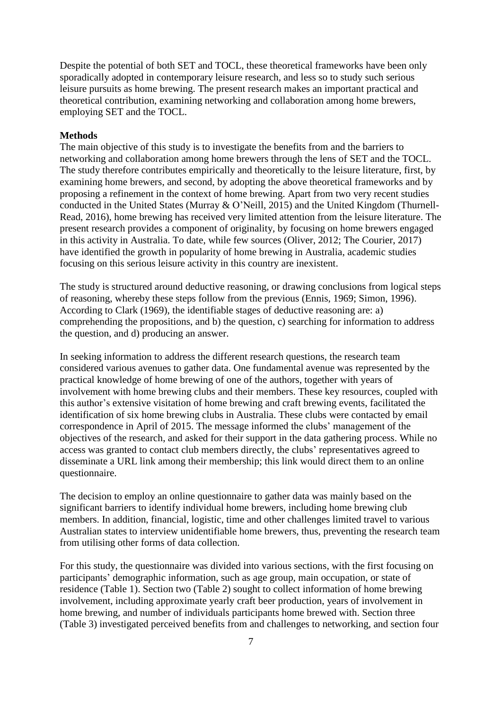Despite the potential of both SET and TOCL, these theoretical frameworks have been only sporadically adopted in contemporary leisure research, and less so to study such serious leisure pursuits as home brewing. The present research makes an important practical and theoretical contribution, examining networking and collaboration among home brewers, employing SET and the TOCL.

## **Methods**

The main objective of this study is to investigate the benefits from and the barriers to networking and collaboration among home brewers through the lens of SET and the TOCL. The study therefore contributes empirically and theoretically to the leisure literature, first, by examining home brewers, and second, by adopting the above theoretical frameworks and by proposing a refinement in the context of home brewing. Apart from two very recent studies conducted in the United States (Murray & O'Neill, 2015) and the United Kingdom (Thurnell-Read, 2016), home brewing has received very limited attention from the leisure literature. The present research provides a component of originality, by focusing on home brewers engaged in this activity in Australia. To date, while few sources (Oliver, 2012; The Courier, 2017) have identified the growth in popularity of home brewing in Australia, academic studies focusing on this serious leisure activity in this country are inexistent.

The study is structured around deductive reasoning, or drawing conclusions from logical steps of reasoning, whereby these steps follow from the previous (Ennis, 1969; Simon, 1996). According to Clark (1969), the identifiable stages of deductive reasoning are: a) comprehending the propositions, and b) the question, c) searching for information to address the question, and d) producing an answer.

In seeking information to address the different research questions, the research team considered various avenues to gather data. One fundamental avenue was represented by the practical knowledge of home brewing of one of the authors, together with years of involvement with home brewing clubs and their members. These key resources, coupled with this author's extensive visitation of home brewing and craft brewing events, facilitated the identification of six home brewing clubs in Australia. These clubs were contacted by email correspondence in April of 2015. The message informed the clubs' management of the objectives of the research, and asked for their support in the data gathering process. While no access was granted to contact club members directly, the clubs' representatives agreed to disseminate a URL link among their membership; this link would direct them to an online questionnaire.

The decision to employ an online questionnaire to gather data was mainly based on the significant barriers to identify individual home brewers, including home brewing club members. In addition, financial, logistic, time and other challenges limited travel to various Australian states to interview unidentifiable home brewers, thus, preventing the research team from utilising other forms of data collection.

For this study, the questionnaire was divided into various sections, with the first focusing on participants' demographic information, such as age group, main occupation, or state of residence (Table 1). Section two (Table 2) sought to collect information of home brewing involvement, including approximate yearly craft beer production, years of involvement in home brewing, and number of individuals participants home brewed with. Section three (Table 3) investigated perceived benefits from and challenges to networking, and section four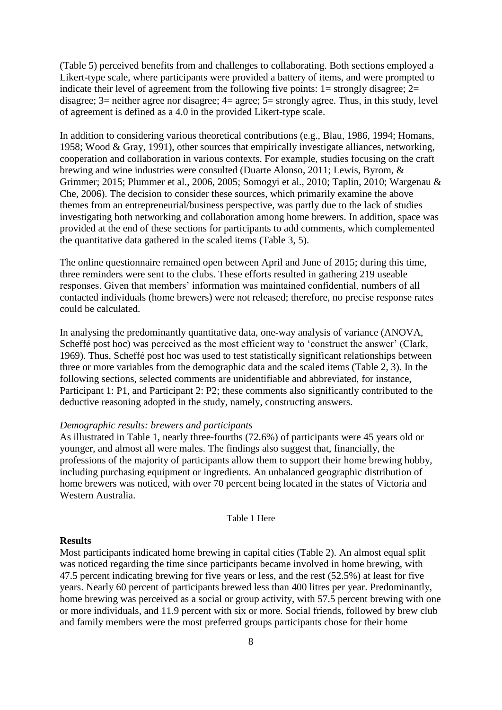(Table 5) perceived benefits from and challenges to collaborating. Both sections employed a Likert-type scale, where participants were provided a battery of items, and were prompted to indicate their level of agreement from the following five points:  $1 =$  strongly disagree;  $2 =$ disagree;  $3$  = neither agree nor disagree;  $4$  = agree;  $5$  = strongly agree. Thus, in this study, level of agreement is defined as a 4.0 in the provided Likert-type scale.

In addition to considering various theoretical contributions (e.g., Blau, 1986, 1994; Homans, 1958; Wood & Gray, 1991), other sources that empirically investigate alliances, networking, cooperation and collaboration in various contexts. For example, studies focusing on the craft brewing and wine industries were consulted (Duarte Alonso, 2011; Lewis, Byrom, & Grimmer; 2015; Plummer et al., 2006, 2005; Somogyi et al., 2010; Taplin, 2010; Wargenau & Che, 2006). The decision to consider these sources, which primarily examine the above themes from an entrepreneurial/business perspective, was partly due to the lack of studies investigating both networking and collaboration among home brewers. In addition, space was provided at the end of these sections for participants to add comments, which complemented the quantitative data gathered in the scaled items (Table 3, 5).

The online questionnaire remained open between April and June of 2015; during this time, three reminders were sent to the clubs. These efforts resulted in gathering 219 useable responses. Given that members' information was maintained confidential, numbers of all contacted individuals (home brewers) were not released; therefore, no precise response rates could be calculated.

In analysing the predominantly quantitative data, one-way analysis of variance (ANOVA, Scheffé post hoc) was perceived as the most efficient way to 'construct the answer' (Clark, 1969). Thus, Scheffé post hoc was used to test statistically significant relationships between three or more variables from the demographic data and the scaled items (Table 2, 3). In the following sections, selected comments are unidentifiable and abbreviated, for instance, Participant 1: P1, and Participant 2: P2; these comments also significantly contributed to the deductive reasoning adopted in the study, namely, constructing answers.

## *Demographic results: brewers and participants*

As illustrated in Table 1, nearly three-fourths (72.6%) of participants were 45 years old or younger, and almost all were males. The findings also suggest that, financially, the professions of the majority of participants allow them to support their home brewing hobby, including purchasing equipment or ingredients. An unbalanced geographic distribution of home brewers was noticed, with over 70 percent being located in the states of Victoria and Western Australia.

Table 1 Here

## **Results**

Most participants indicated home brewing in capital cities (Table 2). An almost equal split was noticed regarding the time since participants became involved in home brewing, with 47.5 percent indicating brewing for five years or less, and the rest (52.5%) at least for five years. Nearly 60 percent of participants brewed less than 400 litres per year. Predominantly, home brewing was perceived as a social or group activity, with 57.5 percent brewing with one or more individuals, and 11.9 percent with six or more. Social friends, followed by brew club and family members were the most preferred groups participants chose for their home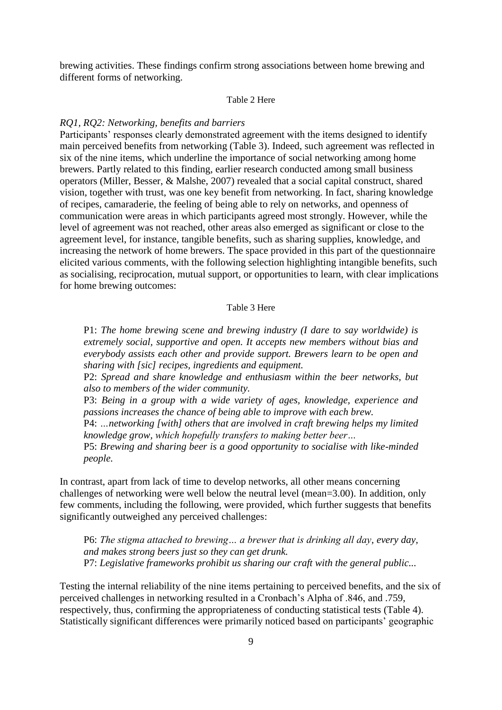brewing activities. These findings confirm strong associations between home brewing and different forms of networking.

#### Table 2 Here

#### *RQ1, RQ2: Networking, benefits and barriers*

Participants' responses clearly demonstrated agreement with the items designed to identify main perceived benefits from networking (Table 3). Indeed, such agreement was reflected in six of the nine items, which underline the importance of social networking among home brewers. Partly related to this finding, earlier research conducted among small business operators (Miller, Besser, & Malshe, 2007) revealed that a social capital construct, shared vision, together with trust, was one key benefit from networking. In fact, sharing knowledge of recipes, camaraderie, the feeling of being able to rely on networks, and openness of communication were areas in which participants agreed most strongly. However, while the level of agreement was not reached, other areas also emerged as significant or close to the agreement level, for instance, tangible benefits, such as sharing supplies, knowledge, and increasing the network of home brewers. The space provided in this part of the questionnaire elicited various comments, with the following selection highlighting intangible benefits, such as socialising, reciprocation, mutual support, or opportunities to learn, with clear implications for home brewing outcomes:

#### Table 3 Here

P1: *The home brewing scene and brewing industry (I dare to say worldwide) is extremely social, supportive and open. It accepts new members without bias and everybody assists each other and provide support. Brewers learn to be open and sharing with [sic] recipes, ingredients and equipment.*

P2: *Spread and share knowledge and enthusiasm within the beer networks, but also to members of the wider community.*

P3: *Being in a group with a wide variety of ages, knowledge, experience and passions increases the chance of being able to improve with each brew.*

P4: *…networking [with] others that are involved in craft brewing helps my limited knowledge grow, which hopefully transfers to making better beer…*

P5: *Brewing and sharing beer is a good opportunity to socialise with like-minded people.*

In contrast, apart from lack of time to develop networks, all other means concerning challenges of networking were well below the neutral level (mean=3.00). In addition, only few comments, including the following, were provided, which further suggests that benefits significantly outweighed any perceived challenges:

P6: *The stigma attached to brewing… a brewer that is drinking all day, every day, and makes strong beers just so they can get drunk.*  P7: *Legislative frameworks prohibit us sharing our craft with the general public...*

Testing the internal reliability of the nine items pertaining to perceived benefits, and the six of perceived challenges in networking resulted in a Cronbach's Alpha of .846, and .759, respectively, thus, confirming the appropriateness of conducting statistical tests (Table 4). Statistically significant differences were primarily noticed based on participants' geographic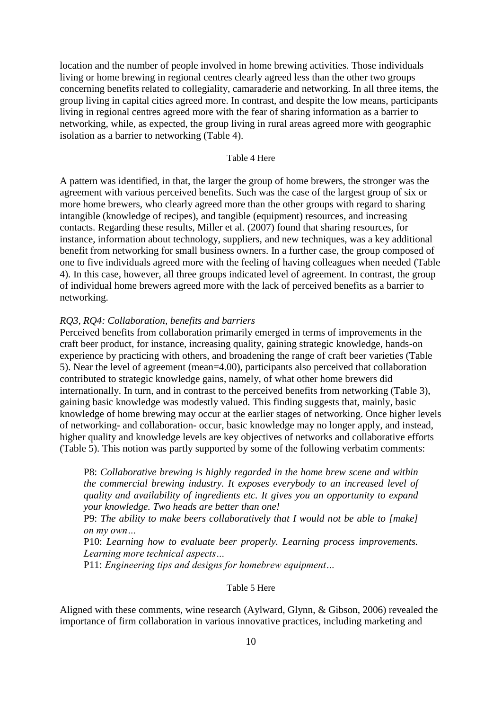location and the number of people involved in home brewing activities. Those individuals living or home brewing in regional centres clearly agreed less than the other two groups concerning benefits related to collegiality, camaraderie and networking. In all three items, the group living in capital cities agreed more. In contrast, and despite the low means, participants living in regional centres agreed more with the fear of sharing information as a barrier to networking, while, as expected, the group living in rural areas agreed more with geographic isolation as a barrier to networking (Table 4).

#### Table 4 Here

A pattern was identified, in that, the larger the group of home brewers, the stronger was the agreement with various perceived benefits. Such was the case of the largest group of six or more home brewers, who clearly agreed more than the other groups with regard to sharing intangible (knowledge of recipes), and tangible (equipment) resources, and increasing contacts. Regarding these results, Miller et al. (2007) found that sharing resources, for instance, information about technology, suppliers, and new techniques, was a key additional benefit from networking for small business owners. In a further case, the group composed of one to five individuals agreed more with the feeling of having colleagues when needed (Table 4). In this case, however, all three groups indicated level of agreement. In contrast, the group of individual home brewers agreed more with the lack of perceived benefits as a barrier to networking.

#### *RQ3, RQ4: Collaboration, benefits and barriers*

Perceived benefits from collaboration primarily emerged in terms of improvements in the craft beer product, for instance, increasing quality, gaining strategic knowledge, hands-on experience by practicing with others, and broadening the range of craft beer varieties (Table 5). Near the level of agreement (mean=4.00), participants also perceived that collaboration contributed to strategic knowledge gains, namely, of what other home brewers did internationally. In turn, and in contrast to the perceived benefits from networking (Table 3), gaining basic knowledge was modestly valued. This finding suggests that, mainly, basic knowledge of home brewing may occur at the earlier stages of networking. Once higher levels of networking- and collaboration- occur, basic knowledge may no longer apply, and instead, higher quality and knowledge levels are key objectives of networks and collaborative efforts (Table 5). This notion was partly supported by some of the following verbatim comments:

P8: *Collaborative brewing is highly regarded in the home brew scene and within the commercial brewing industry. It exposes everybody to an increased level of quality and availability of ingredients etc. It gives you an opportunity to expand your knowledge. Two heads are better than one!*

P9: *The ability to make beers collaboratively that I would not be able to [make] on my own…*

P10: *Learning how to evaluate beer properly. Learning process improvements. Learning more technical aspects…*

P11: *Engineering tips and designs for homebrew equipment…*

## Table 5 Here

Aligned with these comments, wine research (Aylward, Glynn, & Gibson, 2006) revealed the importance of firm collaboration in various innovative practices, including marketing and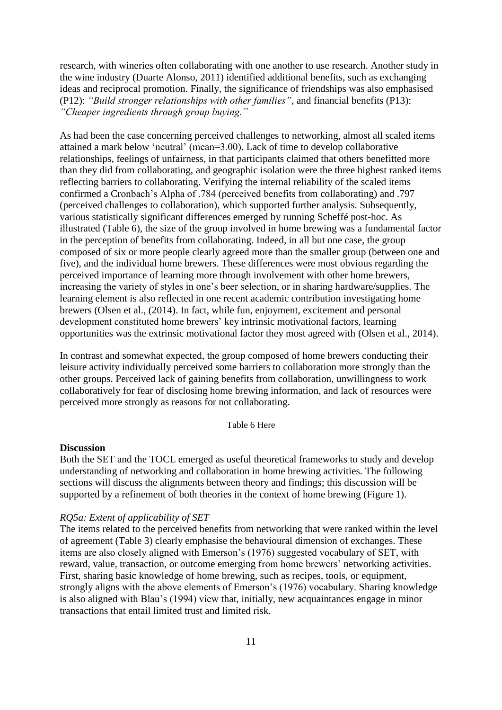research, with wineries often collaborating with one another to use research. Another study in the wine industry (Duarte Alonso, 2011) identified additional benefits, such as exchanging ideas and reciprocal promotion. Finally, the significance of friendships was also emphasised (P12): *"Build stronger relationships with other families"*, and financial benefits (P13): *"Cheaper ingredients through group buying."* 

As had been the case concerning perceived challenges to networking, almost all scaled items attained a mark below 'neutral' (mean=3.00). Lack of time to develop collaborative relationships, feelings of unfairness, in that participants claimed that others benefitted more than they did from collaborating, and geographic isolation were the three highest ranked items reflecting barriers to collaborating. Verifying the internal reliability of the scaled items confirmed a Cronbach's Alpha of .784 (perceived benefits from collaborating) and .797 (perceived challenges to collaboration), which supported further analysis. Subsequently, various statistically significant differences emerged by running Scheffé post-hoc. As illustrated (Table 6), the size of the group involved in home brewing was a fundamental factor in the perception of benefits from collaborating. Indeed, in all but one case, the group composed of six or more people clearly agreed more than the smaller group (between one and five), and the individual home brewers. These differences were most obvious regarding the perceived importance of learning more through involvement with other home brewers, increasing the variety of styles in one's beer selection, or in sharing hardware/supplies. The learning element is also reflected in one recent academic contribution investigating home brewers (Olsen et al., (2014). In fact, while fun, enjoyment, excitement and personal development constituted home brewers' key intrinsic motivational factors, learning opportunities was the extrinsic motivational factor they most agreed with (Olsen et al., 2014).

In contrast and somewhat expected, the group composed of home brewers conducting their leisure activity individually perceived some barriers to collaboration more strongly than the other groups. Perceived lack of gaining benefits from collaboration, unwillingness to work collaboratively for fear of disclosing home brewing information, and lack of resources were perceived more strongly as reasons for not collaborating.

#### Table 6 Here

## **Discussion**

Both the SET and the TOCL emerged as useful theoretical frameworks to study and develop understanding of networking and collaboration in home brewing activities. The following sections will discuss the alignments between theory and findings; this discussion will be supported by a refinement of both theories in the context of home brewing (Figure 1).

#### *RQ5a: Extent of applicability of SET*

The items related to the perceived benefits from networking that were ranked within the level of agreement (Table 3) clearly emphasise the behavioural dimension of exchanges. These items are also closely aligned with Emerson's (1976) suggested vocabulary of SET, with reward, value, transaction, or outcome emerging from home brewers' networking activities. First, sharing basic knowledge of home brewing, such as recipes, tools, or equipment, strongly aligns with the above elements of Emerson's (1976) vocabulary. Sharing knowledge is also aligned with Blau's (1994) view that, initially, new acquaintances engage in minor transactions that entail limited trust and limited risk.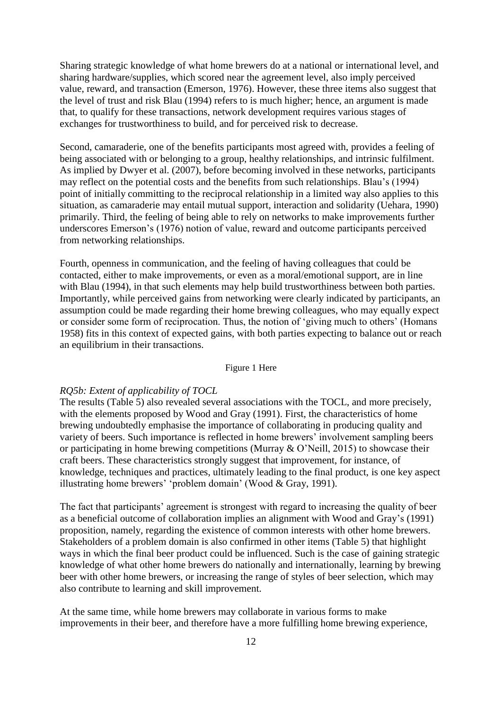Sharing strategic knowledge of what home brewers do at a national or international level, and sharing hardware/supplies, which scored near the agreement level, also imply perceived value, reward, and transaction (Emerson, 1976). However, these three items also suggest that the level of trust and risk Blau (1994) refers to is much higher; hence, an argument is made that, to qualify for these transactions, network development requires various stages of exchanges for trustworthiness to build, and for perceived risk to decrease.

Second, camaraderie, one of the benefits participants most agreed with, provides a feeling of being associated with or belonging to a group, healthy relationships, and intrinsic fulfilment. As implied by Dwyer et al. (2007), before becoming involved in these networks, participants may reflect on the potential costs and the benefits from such relationships. Blau's (1994) point of initially committing to the reciprocal relationship in a limited way also applies to this situation, as camaraderie may entail mutual support, interaction and solidarity (Uehara, 1990) primarily. Third, the feeling of being able to rely on networks to make improvements further underscores Emerson's (1976) notion of value, reward and outcome participants perceived from networking relationships.

Fourth, openness in communication, and the feeling of having colleagues that could be contacted, either to make improvements, or even as a moral/emotional support, are in line with Blau (1994), in that such elements may help build trustworthiness between both parties. Importantly, while perceived gains from networking were clearly indicated by participants, an assumption could be made regarding their home brewing colleagues, who may equally expect or consider some form of reciprocation. Thus, the notion of 'giving much to others' (Homans 1958) fits in this context of expected gains, with both parties expecting to balance out or reach an equilibrium in their transactions.

## Figure 1 Here

#### *RQ5b: Extent of applicability of TOCL*

The results (Table 5) also revealed several associations with the TOCL, and more precisely, with the elements proposed by Wood and Gray (1991). First, the characteristics of home brewing undoubtedly emphasise the importance of collaborating in producing quality and variety of beers. Such importance is reflected in home brewers' involvement sampling beers or participating in home brewing competitions (Murray & O'Neill, 2015) to showcase their craft beers. These characteristics strongly suggest that improvement, for instance, of knowledge, techniques and practices, ultimately leading to the final product, is one key aspect illustrating home brewers' 'problem domain' (Wood & Gray, 1991).

The fact that participants' agreement is strongest with regard to increasing the quality of beer as a beneficial outcome of collaboration implies an alignment with Wood and Gray's (1991) proposition, namely, regarding the existence of common interests with other home brewers. Stakeholders of a problem domain is also confirmed in other items (Table 5) that highlight ways in which the final beer product could be influenced. Such is the case of gaining strategic knowledge of what other home brewers do nationally and internationally, learning by brewing beer with other home brewers, or increasing the range of styles of beer selection, which may also contribute to learning and skill improvement.

At the same time, while home brewers may collaborate in various forms to make improvements in their beer, and therefore have a more fulfilling home brewing experience,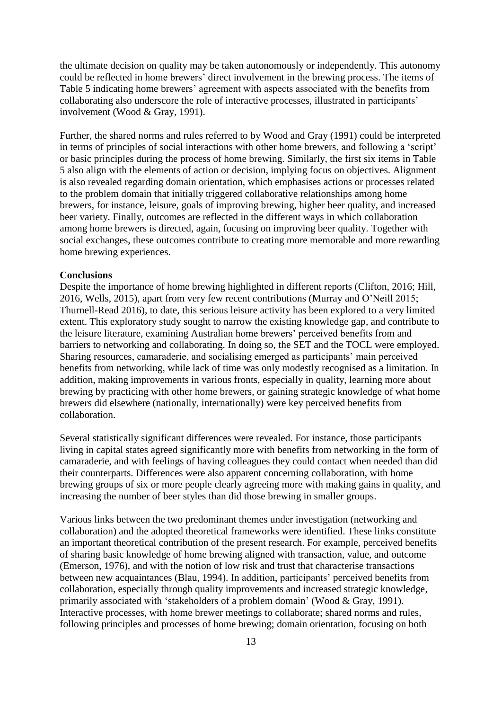the ultimate decision on quality may be taken autonomously or independently. This autonomy could be reflected in home brewers' direct involvement in the brewing process. The items of Table 5 indicating home brewers' agreement with aspects associated with the benefits from collaborating also underscore the role of interactive processes, illustrated in participants' involvement (Wood & Gray, 1991).

Further, the shared norms and rules referred to by Wood and Gray (1991) could be interpreted in terms of principles of social interactions with other home brewers, and following a 'script' or basic principles during the process of home brewing. Similarly, the first six items in Table 5 also align with the elements of action or decision, implying focus on objectives. Alignment is also revealed regarding domain orientation, which emphasises actions or processes related to the problem domain that initially triggered collaborative relationships among home brewers, for instance, leisure, goals of improving brewing, higher beer quality, and increased beer variety. Finally, outcomes are reflected in the different ways in which collaboration among home brewers is directed, again, focusing on improving beer quality. Together with social exchanges, these outcomes contribute to creating more memorable and more rewarding home brewing experiences.

# **Conclusions**

Despite the importance of home brewing highlighted in different reports (Clifton, 2016; Hill, 2016, Wells, 2015), apart from very few recent contributions (Murray and O'Neill 2015; Thurnell-Read 2016), to date, this serious leisure activity has been explored to a very limited extent. This exploratory study sought to narrow the existing knowledge gap, and contribute to the leisure literature, examining Australian home brewers' perceived benefits from and barriers to networking and collaborating. In doing so, the SET and the TOCL were employed. Sharing resources, camaraderie, and socialising emerged as participants' main perceived benefits from networking, while lack of time was only modestly recognised as a limitation. In addition, making improvements in various fronts, especially in quality, learning more about brewing by practicing with other home brewers, or gaining strategic knowledge of what home brewers did elsewhere (nationally, internationally) were key perceived benefits from collaboration.

Several statistically significant differences were revealed. For instance, those participants living in capital states agreed significantly more with benefits from networking in the form of camaraderie, and with feelings of having colleagues they could contact when needed than did their counterparts. Differences were also apparent concerning collaboration, with home brewing groups of six or more people clearly agreeing more with making gains in quality, and increasing the number of beer styles than did those brewing in smaller groups.

Various links between the two predominant themes under investigation (networking and collaboration) and the adopted theoretical frameworks were identified. These links constitute an important theoretical contribution of the present research. For example, perceived benefits of sharing basic knowledge of home brewing aligned with transaction, value, and outcome (Emerson, 1976), and with the notion of low risk and trust that characterise transactions between new acquaintances (Blau, 1994). In addition, participants' perceived benefits from collaboration, especially through quality improvements and increased strategic knowledge, primarily associated with 'stakeholders of a problem domain' (Wood & Gray, 1991). Interactive processes, with home brewer meetings to collaborate; shared norms and rules, following principles and processes of home brewing; domain orientation, focusing on both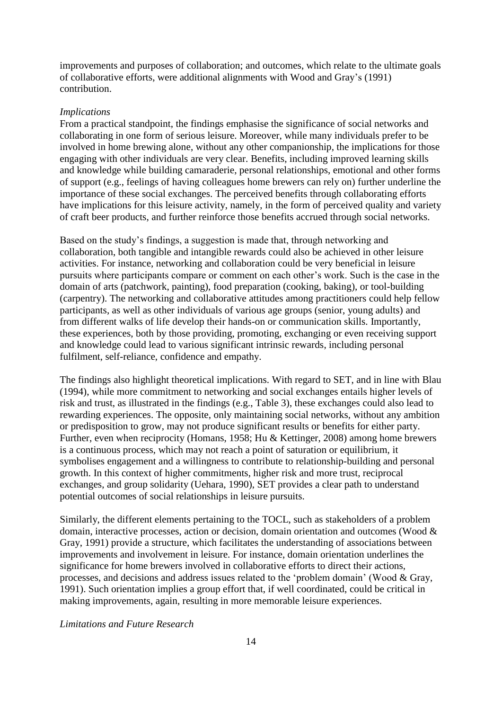improvements and purposes of collaboration; and outcomes, which relate to the ultimate goals of collaborative efforts, were additional alignments with Wood and Gray's (1991) contribution.

#### *Implications*

From a practical standpoint, the findings emphasise the significance of social networks and collaborating in one form of serious leisure. Moreover, while many individuals prefer to be involved in home brewing alone, without any other companionship, the implications for those engaging with other individuals are very clear. Benefits, including improved learning skills and knowledge while building camaraderie, personal relationships, emotional and other forms of support (e.g., feelings of having colleagues home brewers can rely on) further underline the importance of these social exchanges. The perceived benefits through collaborating efforts have implications for this leisure activity, namely, in the form of perceived quality and variety of craft beer products, and further reinforce those benefits accrued through social networks.

Based on the study's findings, a suggestion is made that, through networking and collaboration, both tangible and intangible rewards could also be achieved in other leisure activities. For instance, networking and collaboration could be very beneficial in leisure pursuits where participants compare or comment on each other's work. Such is the case in the domain of arts (patchwork, painting), food preparation (cooking, baking), or tool-building (carpentry). The networking and collaborative attitudes among practitioners could help fellow participants, as well as other individuals of various age groups (senior, young adults) and from different walks of life develop their hands-on or communication skills. Importantly, these experiences, both by those providing, promoting, exchanging or even receiving support and knowledge could lead to various significant intrinsic rewards, including personal fulfilment, self-reliance, confidence and empathy.

The findings also highlight theoretical implications. With regard to SET, and in line with Blau (1994), while more commitment to networking and social exchanges entails higher levels of risk and trust, as illustrated in the findings (e.g., Table 3), these exchanges could also lead to rewarding experiences. The opposite, only maintaining social networks, without any ambition or predisposition to grow, may not produce significant results or benefits for either party. Further, even when reciprocity (Homans, 1958; Hu & Kettinger, 2008) among home brewers is a continuous process, which may not reach a point of saturation or equilibrium, it symbolises engagement and a willingness to contribute to relationship-building and personal growth. In this context of higher commitments, higher risk and more trust, reciprocal exchanges, and group solidarity (Uehara, 1990), SET provides a clear path to understand potential outcomes of social relationships in leisure pursuits.

Similarly, the different elements pertaining to the TOCL, such as stakeholders of a problem domain, interactive processes, action or decision, domain orientation and outcomes (Wood & Gray, 1991) provide a structure, which facilitates the understanding of associations between improvements and involvement in leisure. For instance, domain orientation underlines the significance for home brewers involved in collaborative efforts to direct their actions, processes, and decisions and address issues related to the 'problem domain' (Wood & Gray, 1991). Such orientation implies a group effort that, if well coordinated, could be critical in making improvements, again, resulting in more memorable leisure experiences.

*Limitations and Future Research*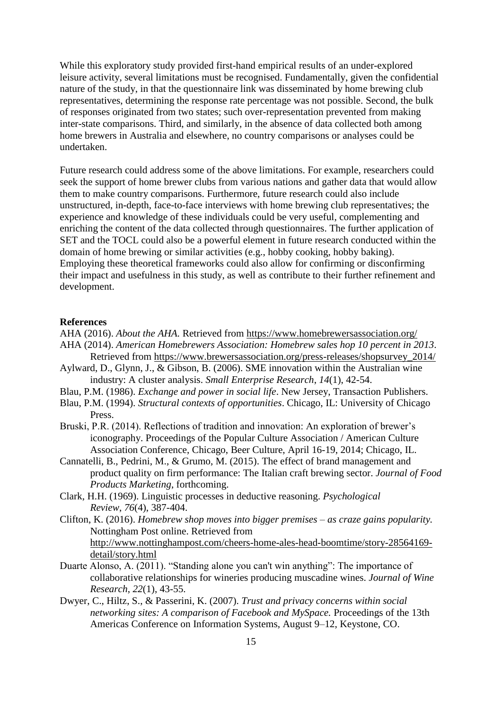While this exploratory study provided first-hand empirical results of an under-explored leisure activity, several limitations must be recognised. Fundamentally, given the confidential nature of the study, in that the questionnaire link was disseminated by home brewing club representatives, determining the response rate percentage was not possible. Second, the bulk of responses originated from two states; such over-representation prevented from making inter-state comparisons. Third, and similarly, in the absence of data collected both among home brewers in Australia and elsewhere, no country comparisons or analyses could be undertaken.

Future research could address some of the above limitations. For example, researchers could seek the support of home brewer clubs from various nations and gather data that would allow them to make country comparisons. Furthermore, future research could also include unstructured, in-depth, face-to-face interviews with home brewing club representatives; the experience and knowledge of these individuals could be very useful, complementing and enriching the content of the data collected through questionnaires. The further application of SET and the TOCL could also be a powerful element in future research conducted within the domain of home brewing or similar activities (e.g., hobby cooking, hobby baking). Employing these theoretical frameworks could also allow for confirming or disconfirming their impact and usefulness in this study, as well as contribute to their further refinement and development.

## **References**

- AHA (2016). *About the AHA.* Retrieved from<https://www.homebrewersassociation.org/>
- AHA (2014). *American Homebrewers Association: Homebrew sales hop 10 percent in 2013*. Retrieved from [https://www.brewersassociation.org/press-releases/shopsurvey\\_2014/](https://www.brewersassociation.org/press-releases/shopsurvey_2014/)
- Aylward, D., Glynn, J., & Gibson, B. (2006). SME innovation within the Australian wine industry: A cluster analysis. *Small Enterprise Research*, *14*(1), 42-54.
- Blau, P.M. (1986). *Exchange and power in social life*. New Jersey, Transaction Publishers.
- Blau, P.M. (1994). *Structural contexts of opportunities*. Chicago, IL: University of Chicago Press.
- Bruski, P.R. (2014). Reflections of tradition and innovation: An exploration of brewer's iconography. Proceedings of the Popular Culture Association / American Culture Association Conference, Chicago, Beer Culture, April 16-19, 2014; Chicago, IL.
- Cannatelli, B., Pedrini, M., & Grumo, M. (2015). The effect of brand management and product quality on firm performance: The Italian craft brewing sector. *Journal of Food Products Marketing*, forthcoming.
- Clark, H.H. (1969). Linguistic processes in deductive reasoning. *Psychological Review*, *76*(4), 387-404.
- Clifton, K. (2016). *Homebrew shop moves into bigger premises – as craze gains popularity.* Nottingham Post online. Retrieved from [http://www.nottinghampost.com/cheers-home-ales-head-boomtime/story-28564169](http://www.nottinghampost.com/cheers-home-ales-head-boomtime/story-28564169-detail/story.html) [detail/story.html](http://www.nottinghampost.com/cheers-home-ales-head-boomtime/story-28564169-detail/story.html)
- Duarte Alonso, A. (2011). "Standing alone you can't win anything": The importance of collaborative relationships for wineries producing muscadine wines. *Journal of Wine Research*, *22*(1), 43-55.
- Dwyer, C., Hiltz, S., & Passerini, K. (2007). *Trust and privacy concerns within social networking sites: A comparison of Facebook and MySpace.* Proceedings of the 13th Americas Conference on Information Systems, August 9–12, Keystone, CO.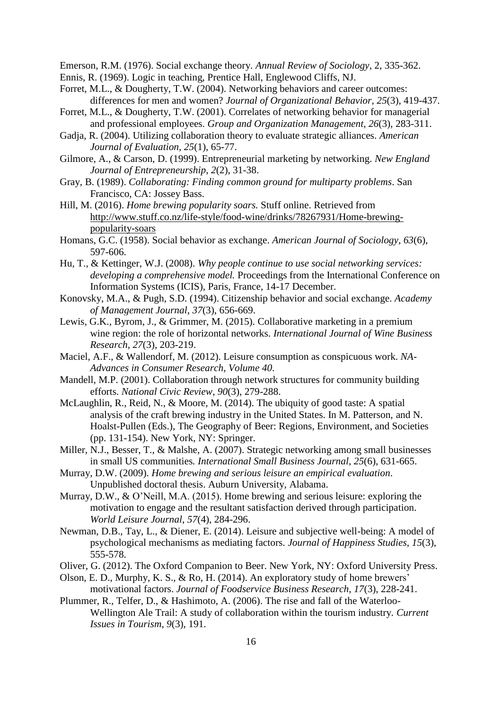Emerson, R.M. (1976). Social exchange theory. *Annual Review of Sociology*, 2, 335-362.

- Ennis, R. (1969). Logic in teaching, Prentice Hall, Englewood Cliffs, NJ.
- Forret, M.L., & Dougherty, T.W. (2004). Networking behaviors and career outcomes: differences for men and women? *Journal of Organizational Behavior*, *25*(3), 419-437.
- Forret, M.L., & Dougherty, T.W. (2001). Correlates of networking behavior for managerial and professional employees. *Group and Organization Management*, *26*(3), 283-311.
- Gadja, R. (2004). Utilizing collaboration theory to evaluate strategic alliances. *American Journal of Evaluation, 25*(1), 65-77.
- Gilmore, A., & Carson, D. (1999). Entrepreneurial marketing by networking. *New England Journal of Entrepreneurship*, *2*(2), 31-38.
- Gray, B. (1989). *Collaborating: Finding common ground for multiparty problems*. San Francisco, CA: Jossey Bass.
- Hill, M. (2016). *Home brewing popularity soars.* Stuff online. Retrieved from [http://www.stuff.co.nz/life-style/food-wine/drinks/78267931/Home-brewing](http://www.stuff.co.nz/life-style/food-wine/drinks/78267931/Home-brewing-popularity-soars)[popularity-soars](http://www.stuff.co.nz/life-style/food-wine/drinks/78267931/Home-brewing-popularity-soars)
- Homans, G.C. (1958). Social behavior as exchange. *American Journal of Sociology, 63*(6), 597-606.
- Hu, T., & Kettinger, W.J. (2008). *Why people continue to use social networking services: developing a comprehensive model.* Proceedings from the International Conference on Information Systems (ICIS), Paris, France, 14-17 December.
- Konovsky, M.A., & Pugh, S.D. (1994). Citizenship behavior and social exchange. *Academy of Management Journal*, *37*(3), 656-669.
- Lewis, G.K., Byrom, J., & Grimmer, M. (2015). Collaborative marketing in a premium wine region: the role of horizontal networks. *International Journal of Wine Business Research*, *27*(3), 203-219.
- Maciel, A.F., & Wallendorf, M. (2012). Leisure consumption as conspicuous work. *NA-Advances in Consumer Research, Volume 40*.
- Mandell, M.P. (2001). Collaboration through network structures for community building efforts. *National Civic Review*, *90*(3), 279-288.
- McLaughlin, R., Reid, N., & Moore, M. (2014). The ubiquity of good taste: A spatial analysis of the craft brewing industry in the United States. In M. Patterson, and N. Hoalst-Pullen (Eds.), The Geography of Beer: Regions, Environment, and Societies (pp. 131-154). New York, NY: Springer.
- Miller, N.J., Besser, T., & Malshe, A. (2007). Strategic networking among small businesses in small US communities*. International Small Business Journal*, *25*(6), 631-665.
- Murray, D.W. (2009). *Home brewing and serious leisure an empirical evaluation*. Unpublished doctoral thesis. Auburn University, Alabama.
- Murray, D.W., & O'Neill, M.A. (2015). Home brewing and serious leisure: exploring the motivation to engage and the resultant satisfaction derived through participation. *World Leisure Journal*, *57*(4), 284-296.
- Newman, D.B., Tay, L., & Diener, E. (2014). Leisure and subjective well-being: A model of psychological mechanisms as mediating factors. *Journal of Happiness Studies*, *15*(3), 555-578.
- Oliver, G. (2012). The Oxford Companion to Beer. New York, NY: Oxford University Press.
- Olson, E. D., Murphy, K. S., & Ro, H. (2014). An exploratory study of home brewers' motivational factors. *Journal of Foodservice Business Research*, *17*(3), 228-241.
- Plummer, R., Telfer, D., & Hashimoto, A. (2006). The rise and fall of the Waterloo-Wellington Ale Trail: A study of collaboration within the tourism industry. *Current Issues in Tourism*, *9*(3), 191.